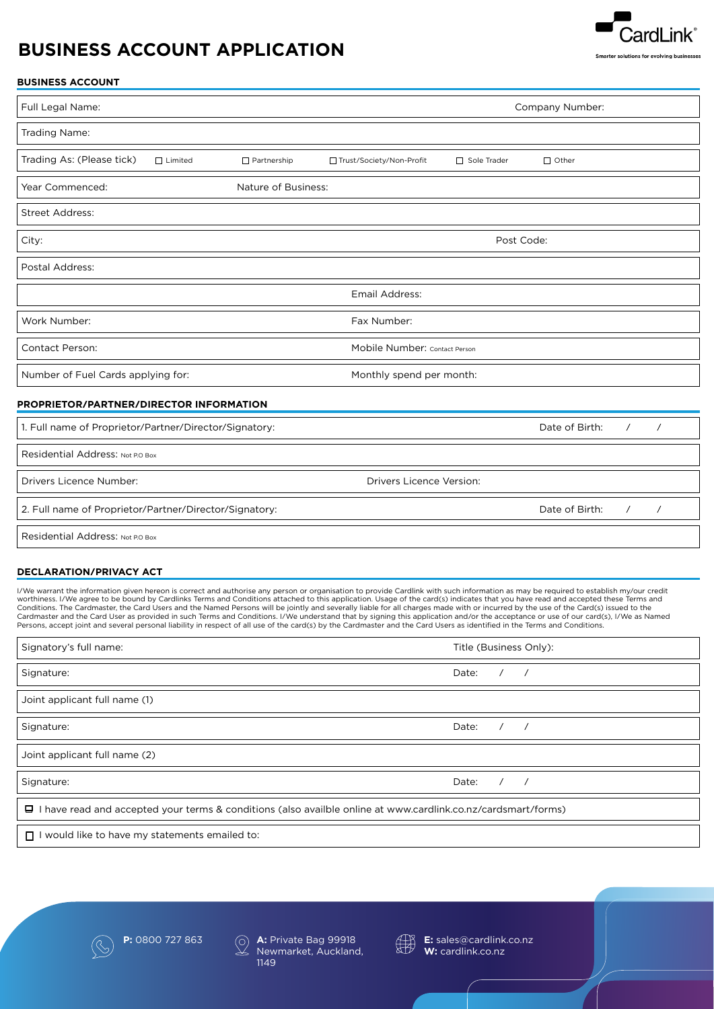# **BUSINESS ACCOUNT APPLICATION**



# **BUSINESS ACCOUNT**

| Full Legal Name:                                                         |                |                     |                               | Company Number: |                |          |          |
|--------------------------------------------------------------------------|----------------|---------------------|-------------------------------|-----------------|----------------|----------|----------|
| Trading Name:                                                            |                |                     |                               |                 |                |          |          |
| Trading As: (Please tick)                                                | $\Box$ Limited | $\Box$ Partnership  | □ Trust/Society/Non-Profit    | Sole Trader     | $\Box$ Other   |          |          |
| Year Commenced:                                                          |                | Nature of Business: |                               |                 |                |          |          |
| Street Address:                                                          |                |                     |                               |                 |                |          |          |
| City:                                                                    |                |                     | Post Code:                    |                 |                |          |          |
| Postal Address:                                                          |                |                     |                               |                 |                |          |          |
|                                                                          |                |                     | Email Address:                |                 |                |          |          |
| Work Number:                                                             |                |                     | Fax Number:                   |                 |                |          |          |
| <b>Contact Person:</b>                                                   |                |                     | Mobile Number: Contact Person |                 |                |          |          |
| Number of Fuel Cards applying for:                                       |                |                     | Monthly spend per month:      |                 |                |          |          |
| PROPRIETOR/PARTNER/DIRECTOR INFORMATION                                  |                |                     |                               |                 |                |          |          |
| Date of Birth:<br>1. Full name of Proprietor/Partner/Director/Signatory: |                | $\prime$            | $\overline{1}$                |                 |                |          |          |
| Residential Address: Not P.O Box                                         |                |                     |                               |                 |                |          |          |
| <b>Drivers Licence Number:</b><br><b>Drivers Licence Version:</b>        |                |                     |                               |                 |                |          |          |
| 2. Full name of Proprietor/Partner/Director/Signatory:                   |                |                     |                               |                 | Date of Birth: | $\prime$ | $\prime$ |
| Residential Address: Not P.O Box                                         |                |                     |                               |                 |                |          |          |

# **DECLARATION/PRIVACY ACT**

I/We warrant the information given hereon is correct and authorise any person or organisation to provide Cardlink with such information as may be required to establish my/our credit<br>worthiness. I/We agree to be bound by Ca Conditions. The Cardmaster, the Card Users and the Named Persons will be jointly and severally liable for all charges made with or incurred by the use of the Card(s) issued to the<br>Cardmaster and the Card User as provided i Persons, accept joint and several personal liability in respect of all use of the card(s) by the Cardmaster and the Card Users as identified in the Terms and Conditions.

| Signatory's full name:                                                                                          | Title (Business Only): |  |
|-----------------------------------------------------------------------------------------------------------------|------------------------|--|
| Signature:                                                                                                      | Date: $/$ /            |  |
| Joint applicant full name (1)                                                                                   |                        |  |
| Signature:                                                                                                      | Date:                  |  |
| Joint applicant full name (2)                                                                                   |                        |  |
| Signature:                                                                                                      | Date: $/$ /            |  |
| □ I have read and accepted your terms & conditions (also availble online at www.cardlink.co.nz/cardsmart/forms) |                        |  |
|                                                                                                                 |                        |  |

 $\Box$  I would like to have my statements emailed to:





**P:** 0800 727 863 **A:** Private Bag 99918<br>Newmarket, Auckland Newmarket, Auckland, 1149



**E:** sales@cardlink.co.nz **W:** cardlink.co.nz

*Last Updated April 2020 | JKS-373643-20-883-V1:js*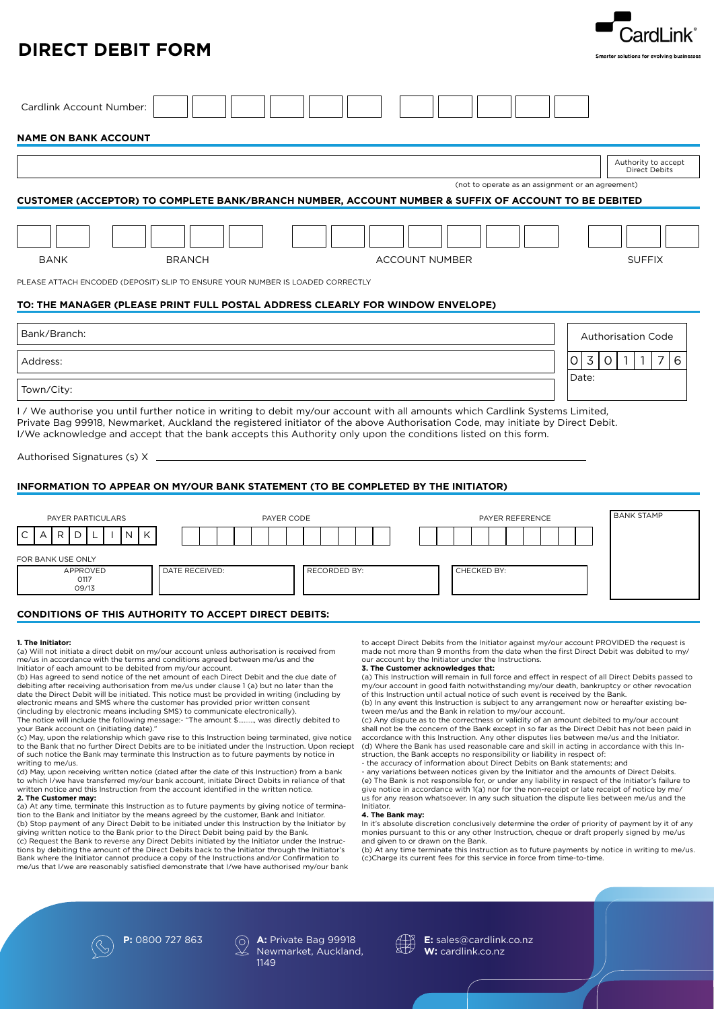# **DIRECT DEBIT FORM**

| Cardlink Account Number:                                                                             |                                                   |                                      |  |  |
|------------------------------------------------------------------------------------------------------|---------------------------------------------------|--------------------------------------|--|--|
| <b>NAME ON BANK ACCOUNT</b>                                                                          |                                                   |                                      |  |  |
|                                                                                                      |                                                   | Authority to accept<br>Direct Debits |  |  |
|                                                                                                      | (not to operate as an assignment or an agreement) |                                      |  |  |
| CUSTOMER (ACCEPTOR) TO COMPLETE BANK/BRANCH NUMBER, ACCOUNT NUMBER & SUFFIX OF ACCOUNT TO BE DEBITED |                                                   |                                      |  |  |
|                                                                                                      |                                                   |                                      |  |  |
|                                                                                                      |                                                   |                                      |  |  |
| <b>BANK</b><br><b>BRANCH</b>                                                                         | <b>ACCOUNT NUMBER</b>                             | <b>SUFFIX</b>                        |  |  |
| PLEASE ATTACH ENCODED (DEPOSIT) SLIP TO ENSURE YOUR NUMBER IS LOADED CORRECTLY                       |                                                   |                                      |  |  |
| TO: THE MANAGER (PLEASE PRINT FULL POSTAL ADDRESS CLEARLY FOR WINDOW ENVELOPE)                       |                                                   |                                      |  |  |

| Bank/Branch: | <b>Authorisation Code</b> |
|--------------|---------------------------|
| Address:     | 3<br>$\circ$<br>∽<br>b    |
| Town/City:   | Date:                     |

I / We authorise you until further notice in writing to debit my/our account with all amounts which Cardlink Systems Limited, Private Bag 99918, Newmarket, Auckland the registered initiator of the above Authorisation Code, may initiate by Direct Debit. I/We acknowledge and accept that the bank accepts this Authority only upon the conditions listed on this form.

Authorised Signatures (s) X

# **INFORMATION TO APPEAR ON MY/OUR BANK STATEMENT (TO BE COMPLETED BY THE INITIATOR)**

| PAYER PARTICULARS                     | PAYER CODE                     | PAYER REFERENCE | <b>BANK STAMP</b> |
|---------------------------------------|--------------------------------|-----------------|-------------------|
| C<br>N<br>R<br>K<br>Α                 |                                |                 |                   |
| FOR BANK USE ONLY<br>APPROVED<br>0117 | DATE RECEIVED:<br>RECORDED BY: | CHECKED BY:     |                   |
| 09/13                                 |                                |                 |                   |

# **CONDITIONS OF THIS AUTHORITY TO ACCEPT DIRECT DEBITS:**

## **1. The Initiator:**

(a) Will not initiate a direct debit on my/our account unless authorisation is received from me/us in accordance with the terms and conditions agreed between me/us and the Initiator of each amount to be debited from my/our account.

(b) Has agreed to send notice of the net amount of each Direct Debit and the due date of debiting after receiving authorisation from me/us under clause 1 (a) but no later than the date the Direct Debit will be initiated. This notice must be provided in writing (including by electronic means and SMS where the customer has provided prior written consent (including by electronic means including SMS) to communicate electronically).

The notice will include the following message:- "The amount \$………, was directly debited to your Bank account on (initiating date)."

(c) May, upon the relationship which gave rise to this Instruction being terminated, give notice to the Bank that no further Direct Debits are to be initiated under the Instruction. Upon reciept of such notice the Bank may terminate this Instruction as to future payments by notice in writing to me/us.

(d) May, upon receiving written notice (dated after the date of this Instruction) from a bank to which I/we have transferred my/our bank account, initiate Direct Debits in reliance of that written notice and this Instruction from the account identified in the written notice.

**2. The Customer may:** 

(a) At any time, terminate this Instruction as to future payments by giving notice of termination to the Bank and Initiator by the means agreed by the customer, Bank and Initiator. (b) Stop payment of any Direct Debit to be initiated under this Instruction by the Initiator by giving written notice to the Bank prior to the Direct Debit being paid by the Bank.

(c) Request the Bank to reverse any Direct Debits initiated by the Initiator under the Instructions by debiting the amount of the Direct Debits back to the Initiator through the Initiator's Bank where the Initiator cannot produce a copy of the Instructions and/or Confirmation to me/us that I/we are reasonably satisfied demonstrate that I/we have authorised my/our bank to accept Direct Debits from the Initiator against my/our account PROVIDED the request is made not more than 9 months from the date when the first Direct Debit was debited to my/ our account by the Initiator under the Instructions.

# **3. The Customer acknowledges that:**

(a) This Instruction will remain in full force and effect in respect of all Direct Debits passed to my/our account in good faith notwithstanding my/our death, bankruptcy or other revocation of this Instruction until actual notice of such event is received by the Bank. (b) In any event this Instruction is subject to any arrangement now or hereafter existing be-

tween me/us and the Bank in relation to my/our account. (c) Any dispute as to the correctness or validity of an amount debited to my/our account shall not be the concern of the Bank except in so far as the Direct Debit has not been paid in accordance with this Instruction. Any other disputes lies between me/us and the Initiator. (d) Where the Bank has used reasonable care and skill in acting in accordance with this Instruction, the Bank accepts no responsibility or liability in respect of:

- the accuracy of information about Direct Debits on Bank statements; and

- any variations between notices given by the Initiator and the amounts of Direct Debits. (e) The Bank is not responsible for, or under any liability in respect of the Initiator's failure to give notice in accordance with 1(a) nor for the non-receipt or late receipt of notice by me/ us for any reason whatsoever. In any such situation the dispute lies between me/us and the **Initiator** 

#### **4. The Bank may:**

In it's absolute discretion conclusively determine the order of priority of payment by it of any monies pursuant to this or any other Instruction, cheque or draft properly signed by me/us and given to or drawn on the Bank.

(b) At any time terminate this Instruction as to future payments by notice in writing to me/us. (c)Charge its current fees for this service in force from time-to-time.

*Last Updated April 2020 | JKS-373643-20-883-V1:js*

ardl ink





**P:** 0800 727 863 (a) **A:** Private Bag 99918 Newmarket, Auckland, 1149



**E:** sales@cardlink.co.nz **W:** cardlink.co.nz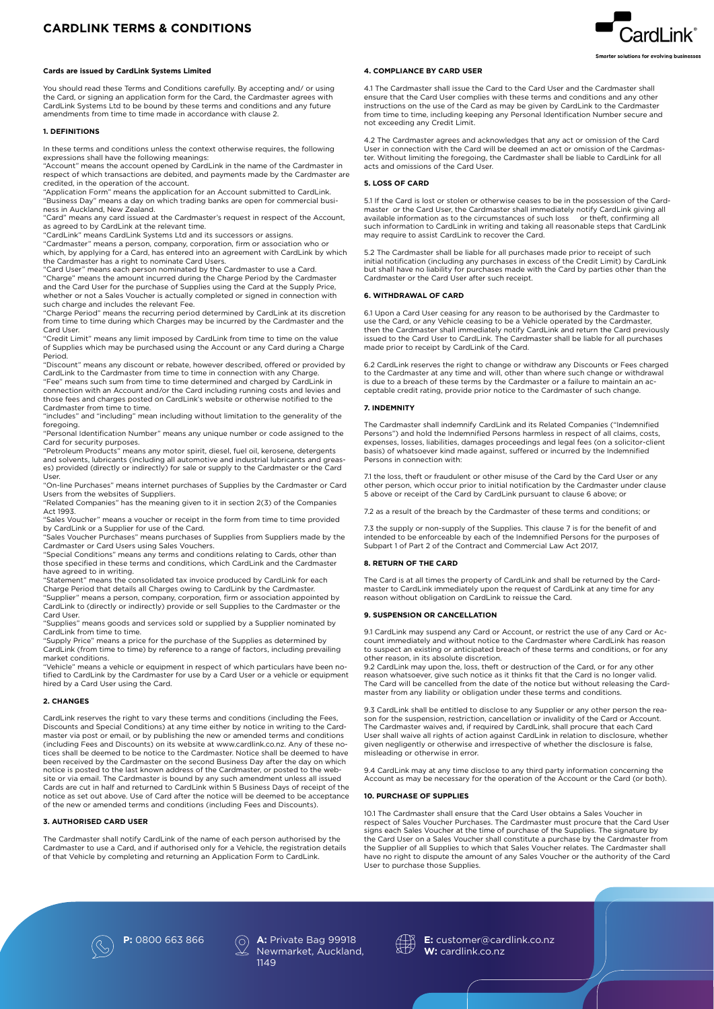# **CARDLINK TERMS & CONDITIONS**

# **Cards are issued by CardLink Systems Limited**

You should read these Terms and Conditions carefully. By accepting and/ or using the Card, or signing an application form for the Card, the Cardmaster agrees with CardLink Systems Ltd to be bound by these terms and conditions and any future amendments from time to time made in accordance with clause 2.

## **1. DEFINITIONS**

In these terms and conditions unless the context otherwise requires, the following expressions shall have the following meanings:

"Account" means the account opened by CardLink in the name of the Cardmaster in respect of which transactions are debited, and payments made by the Cardmaster are credited, in the operation of the account. "Application Form" means the application for an Account submitted to CardLink.

"Business Day" means a day on which trading banks are open for commercial business in Auckland, New Zealand.

"Card" means any card issued at the Cardmaster's request in respect of the Account, as agreed to by CardLink at the relevant time.

"CardLink" means CardLink Systems Ltd and its successors or assigns.

"Cardmaster" means a person, company, corporation, firm or association who or which, by applying for a Card, has entered into an agreement with CardLink by which the Cardmaster has a right to nominate Card Users. "Card User" means each person nominated by the Cardmaster to use a Card.

"Charge" means the amount incurred during the Charge Period by the Cardmaster and the Card User for the purchase of Supplies using the Card at the Supply Price, whether or not a Sales Voucher is actually completed or signed in connection with

such charge and includes the relevant Fee. "Charge Period" means the recurring period determined by CardLink at its discretion from time to time during which Charges may be incurred by the Cardmaster and the Card User.

"Credit Limit" means any limit imposed by CardLink from time to time on the value of Supplies which may be purchased using the Account or any Card during a Charge Period.

"Discount" means any discount or rebate, however described, offered or provided by CardLink to the Cardmaster from time to time in connection with any Charge.

"Fee" means such sum from time to time determined and charged by CardLink in connection with an Account and/or the Card including running costs and levies and those fees and charges posted on CardLink's website or otherwise notified to the Cardmaster from time to time.

"includes" and "including" mean including without limitation to the generality of the foregoing.

"Personal Identification Number" means any unique number or code assigned to the Card for security purposes. "Petroleum Products" means any motor spirit, diesel, fuel oil, kerosene, detergents

and solvents, lubricants (including all automotive and industrial lubricants and greases) provided (directly or indirectly) for sale or supply to the Cardmaster or the Card User.

"On-line Purchases" means internet purchases of Supplies by the Cardmaster or Card Users from the websites of Suppliers.

"Related Companies" has the meaning given to it in section 2(3) of the Companies Act 1993.

"Sales Voucher" means a voucher or receipt in the form from time to time provided by CardLink or a Supplier for use of the Card.

"Sales Voucher Purchases" means purchases of Supplies from Suppliers made by the Cardmaster or Card Users using Sales Vouchers.

"Special Conditions" means any terms and conditions relating to Cards, other than those specified in these terms and conditions, which CardLink and the Cardmaster have agreed to in writing.

"Statement" means the consolidated tax invoice produced by CardLink for each Charge Period that details all Charges owing to CardLink by the Cardmaster. "Supplier" means a person, company, corporation, firm or association appointed by CardLink to (directly or indirectly) provide or sell Supplies to the Cardmaster or the

Card User. "Supplies" means goods and services sold or supplied by a Supplier nominated by CardLink from time to time.

"Supply Price" means a price for the purchase of the Supplies as determined by CardLink (from time to time) by reference to a range of factors, including prevailing market conditions.

"Vehicle" means a vehicle or equipment in respect of which particulars have been notified to CardLink by the Cardmaster for use by a Card User or a vehicle or equipment hired by a Card User using the Card.

#### **2. CHANGES**

CardLink reserves the right to vary these terms and conditions (including the Fees, Discounts and Special Conditions) at any time either by notice in writing to the Cardmaster via post or email, or by publishing the new or amended terms and conditions (including Fees and Discounts) on its website at www.cardlink.co.nz. Any of these notices shall be deemed to be notice to the Cardmaster. Notice shall be deemed to have been received by the Cardmaster on the second Business Day after the day on which notice is posted to the last known address of the Cardmaster, or posted to the website or via email. The Cardmaster is bound by any such amendment unless all issued Cards are cut in half and returned to CardLink within 5 Business Days of receipt of the notice as set out above. Use of Card after the notice will be deemed to be acceptance of the new or amended terms and conditions (including Fees and Discounts).

#### **3. AUTHORISED CARD USER**

The Cardmaster shall notify CardLink of the name of each person authorised by the Cardmaster to use a Card, and if authorised only for a Vehicle, the registration details of that Vehicle by completing and returning an Application Form to CardLink.

# **4. COMPLIANCE BY CARD USER**

4.1 The Cardmaster shall issue the Card to the Card User and the Cardmaster shall ensure that the Card User complies with these terms and conditions and any other instructions on the use of the Card as may be given by CardLink to the Cardmaster from time to time, including keeping any Personal Identification Number secure and not exceeding any Credit Limit.

 $\mathop{{\mathsf{card}}}\nolimits$  ink $\mathop{{\mathsf{d}}}\nolimits$ 

4.2 The Cardmaster agrees and acknowledges that any act or omission of the Card User in connection with the Card will be deemed an act or omission of the Cardmaster. Without limiting the foregoing, the Cardmaster shall be liable to CardLink for all acts and omissions of the Card User.

### **5. LOSS OF CARD**

5.1 If the Card is lost or stolen or otherwise ceases to be in the possession of the Cardmaster or the Card User, the Cardmaster shall immediately notify CardLink giving all available information as to the circumstances of such loss or theft, confirming all such information to CardLink in writing and taking all reasonable steps that CardLink may require to assist CardLink to recover the Card.

5.2 The Cardmaster shall be liable for all purchases made prior to receipt of such initial notification (including any purchases in excess of the Credit Limit) by CardLink but shall have no liability for purchases made with the Card by parties other than the Cardmaster or the Card User after such receipt.

### **6. WITHDRAWAL OF CARD**

6.1 Upon a Card User ceasing for any reason to be authorised by the Cardmaster to use the Card, or any Vehicle ceasing to be a Vehicle operated by the Cardmaster, then the Cardmaster shall immediately notify CardLink and return the Card previously issued to the Card User to CardLink. The Cardmaster shall be liable for all purchases made prior to receipt by CardLink of the Card.

6.2 CardLink reserves the right to change or withdraw any Discounts or Fees charged to the Cardmaster at any time and will, other than where such change or withdrawal is due to a breach of these terms by the Cardmaster or a failure to maintain an acceptable credit rating, provide prior notice to the Cardmaster of such change.

### **7. INDEMNITY**

The Cardmaster shall indemnify CardLink and its Related Companies ("Indemnified Persons") and hold the Indemnified Persons harmless in respect of all claims, costs, expenses, losses, liabilities, damages proceedings and legal fees (on a solicitor-client basis) of whatsoever kind made against, suffered or incurred by the Indemnified Persons in connection with:

7.1 the loss, theft or fraudulent or other misuse of the Card by the Card User or any other person, which occur prior to initial notification by the Cardmaster under clause 5 above or receipt of the Card by CardLink pursuant to clause 6 above; or

7.2 as a result of the breach by the Cardmaster of these terms and conditions; or

7.3 the supply or non-supply of the Supplies. This clause 7 is for the benefit of and intended to be enforceable by each of the Indemnified Persons for the purposes of Subpart 1 of Part 2 of the Contract and Commercial Law Act 2017,

#### **8. RETURN OF THE CARD**

The Card is at all times the property of CardLink and shall be returned by the Cardmaster to CardLink immediately upon the request of CardLink at any time for any reason without obligation on CardLink to reissue the Card.

### **9. SUSPENSION OR CANCELLATION**

9.1 CardLink may suspend any Card or Account, or restrict the use of any Card or Account immediately and without notice to the Cardmaster where CardLink has reason to suspect an existing or anticipated breach of these terms and conditions, or for any other reason, in its absolute discretion.

9.2 CardLink may upon the, loss, theft or destruction of the Card, or for any other reason whatsoever, give such notice as it thinks fit that the Card is no longer valid. The Card will be cancelled from the date of the notice but without releasing the Cardmaster from any liability or obligation under these terms and conditions.

9.3 CardLink shall be entitled to disclose to any Supplier or any other person the reason for the suspension, restriction, cancellation or invalidity of the Card or Account. The Cardmaster waives and, if required by CardLink, shall procure that each Card User shall waive all rights of action against CardLink in relation to disclosure, whether given negligently or otherwise and irrespective of whether the disclosure is false, misleading or otherwise in error.

9.4 CardLink may at any time disclose to any third party information concerning the Account as may be necessary for the operation of the Account or the Card (or both).

# **10. PURCHASE OF SUPPLIES**

10.1 The Cardmaster shall ensure that the Card User obtains a Sales Voucher in respect of Sales Voucher Purchases. The Cardmaster must procure that the Card User signs each Sales Voucher at the time of purchase of the Supplies. The signature by the Card User on a Sales Voucher shall constitute a purchase by the Cardmaster from the Supplier of all Supplies to which that Sales Voucher relates. The Cardmaster shall have no right to dispute the amount of any Sales Voucher or the authority of the Card User to purchase those Supplies.

*Last Updated April 2020 | JKS-373643-20-883-V1:js*





**P:** 0800 663 866 **A:** Private Bag 99918 Newmarket, Auckland, 1149



**E:** customer@cardlink.co.nz **W:** cardlink.co.nz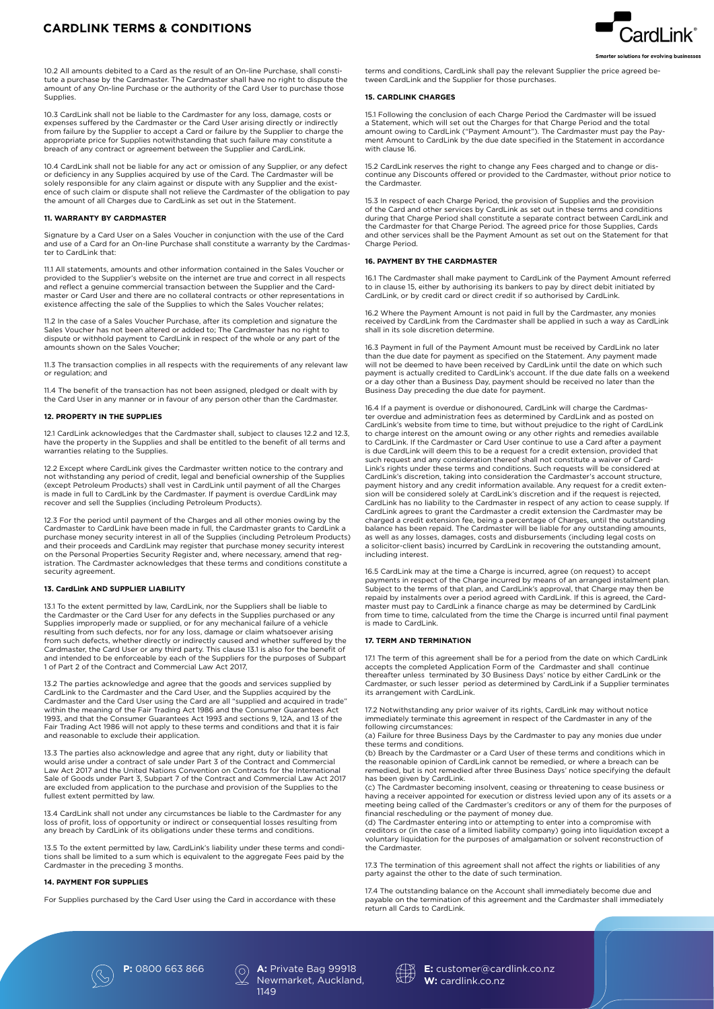# **CARDLINK TERMS & CONDITIONS**

10.2 All amounts debited to a Card as the result of an On-line Purchase, shall constitute a purchase by the Cardmaster. The Cardmaster shall have no right to dispute the amount of any On-line Purchase or the authority of the Card User to purchase those Supplies.

10.3 CardLink shall not be liable to the Cardmaster for any loss, damage, costs or expenses suffered by the Cardmaster or the Card User arising directly or indirectly from failure by the Supplier to accept a Card or failure by the Supplier to charge the appropriate price for Supplies notwithstanding that such failure may constitute a breach of any contract or agreement between the Supplier and CardLink.

10.4 CardLink shall not be liable for any act or omission of any Supplier, or any defect or deficiency in any Supplies acquired by use of the Card. The Cardmaster will be solely responsible for any claim against or dispute with any Supplier and the exist-ence of such claim or dispute shall not relieve the Cardmaster of the obligation to pay the amount of all Charges due to CardLink as set out in the Statement.

# **11. WARRANTY BY CARDMASTER**

Signature by a Card User on a Sales Voucher in conjunction with the use of the Card and use of a Card for an On-line Purchase shall constitute a warranty by the Cardmaster to CardLink that:

11.1 All statements, amounts and other information contained in the Sales Voucher or provided to the Supplier's website on the internet are true and correct in all respects and reflect a genuine commercial transaction between the Supplier and the Cardmaster or Card User and there are no collateral contracts or other representations in existence affecting the sale of the Supplies to which the Sales Voucher relates;

11.2 In the case of a Sales Voucher Purchase, after its completion and signature the Sales Voucher has not been altered or added to; The Cardmaster has no right to dispute or withhold payment to CardLink in respect of the whole or any part of the amounts shown on the Sales Voucher;

11.3 The transaction complies in all respects with the requirements of any relevant law or regulation; and

11.4 The benefit of the transaction has not been assigned, pledged or dealt with by the Card User in any manner or in favour of any person other than the Cardmaster.

# **12. PROPERTY IN THE SUPPLIES**

12.1 CardLink acknowledges that the Cardmaster shall, subject to clauses 12.2 and 12.3, have the property in the Supplies and shall be entitled to the benefit of all terms and warranties relating to the Supplies.

12.2 Except where CardLink gives the Cardmaster written notice to the contrary and not withstanding any period of credit, legal and beneficial ownership of the Supplies (except Petroleum Products) shall vest in CardLink until payment of all the Charges is made in full to CardLink by the Cardmaster. If payment is overdue CardLink may recover and sell the Supplies (including Petroleum Products).

12.3 For the period until payment of the Charges and all other monies owing by the Cardmaster to CardLink have been made in full, the Cardmaster grants to CardLink a purchase money security interest in all of the Supplies (including Petroleum Products) and their proceeds and CardLink may register that purchase money security interest<br>on the Personal Properties Security Register and, where necessary, amend that registration. The Cardmaster acknowledges that these terms and conditions constitute a security agreement.

# **13. CardLink AND SUPPLIER LIABILITY**

13.1 To the extent permitted by law, CardLink, nor the Suppliers shall be liable to the Cardmaster or the Card User for any defects in the Supplies purchased or any Supplies improperly made or supplied, or for any mechanical failure of a vehicle resulting from such defects, nor for any loss, damage or claim whatsoever arising from such defects, whether directly or indirectly caused and whether suffered by the Cardmaster, the Card User or any third party. This clause 13.1 is also for the benefit of and intended to be enforceable by each of the Suppliers for the purposes of Subpart 1 of Part 2 of the Contract and Commercial Law Act 2017,

13.2 The parties acknowledge and agree that the goods and services supplied by CardLink to the Cardmaster and the Card User, and the Supplies acquired by the Cardmaster and the Card User using the Card are all "supplied and acquired in trade" within the meaning of the Fair Trading Act 1986 and the Consumer Guarantees Act 1993, and that the Consumer Guarantees Act 1993 and sections 9, 12A, and 13 of the Fair Trading Act 1986 will not apply to these terms and conditions and that it is fair and reasonable to exclude their application.

13.3 The parties also acknowledge and agree that any right, duty or liability that would arise under a contract of sale under Part 3 of the Contract and Commercial Law Act 2017 and the United Nations Convention on Contracts for the International Sale of Goods under Part 3, Subpart 7 of the Contract and Commercial Law Act 2017 are excluded from application to the purchase and provision of the Supplies to the fullest extent permitted by law.

13.4 CardLink shall not under any circumstances be liable to the Cardmaster for any loss of profit, loss of opportunity or indirect or consequential losses resulting from any breach by CardLink of its obligations under these terms and conditions.

13.5 To the extent permitted by law, CardLink's liability under these terms and conditions shall be limited to a sum which is equivalent to the aggregate Fees paid by the Cardmaster in the preceding 3 months.

# **14. PAYMENT FOR SUPPLIES**

For Supplies purchased by the Card User using the Card in accordance with these

terms and conditions, CardLink shall pay the relevant Supplier the price agreed between CardLink and the Supplier for those purchases.

# **15. CARDLINK CHARGES**

15.1 Following the conclusion of each Charge Period the Cardmaster will be issued a Statement, which will set out the Charges for that Charge Period and the total amount owing to CardLink ("Payment Amount"). The Cardmaster must pay the Payment Amount to CardLink by the due date specified in the Statement in accordance with clause 16.

15.2 CardLink reserves the right to change any Fees charged and to change or discontinue any Discounts offered or provided to the Cardmaster, without prior notice to the Cardmaster.

15.3 In respect of each Charge Period, the provision of Supplies and the provision of the Card and other services by CardLink as set out in these terms and conditions during that Charge Period shall constitute a separate contract between CardLink and the Cardmaster for that Charge Period. The agreed price for those Supplies, Cards and other services shall be the Payment Amount as set out on the Statement for that Charge Period.

### **16. PAYMENT BY THE CARDMASTER**

16.1 The Cardmaster shall make payment to CardLink of the Payment Amount referred to in clause 15, either by authorising its bankers to pay by direct debit initiated by CardLink, or by credit card or direct credit if so authorised by CardLink.

16.2 Where the Payment Amount is not paid in full by the Cardmaster, any monies received by CardLink from the Cardmaster shall be applied in such a way as CardLink shall in its sole discretion determine.

16.3 Payment in full of the Payment Amount must be received by CardLink no later than the due date for payment as specified on the Statement. Any payment made will not be deemed to have been received by CardLink until the date on which such payment is actually credited to CardLink's account. If the due date falls on a weekend or a day other than a Business Day, payment should be received no later than the Business Day preceding the due date for payment.

16.4 If a payment is overdue or dishonoured, CardLink will charge the Cardmaster overdue and administration fees as determined by CardLink and as posted on CardLink's website from time to time, but without prejudice to the right of CardLink to charge interest on the amount owing or any other rights and remedies available to CardLink. If the Cardmaster or Card User continue to use a Card after a payment is due CardLink will deem this to be a request for a credit extension, provided that such request and any consideration thereof shall not constitute a waiver of Card-Link's rights under these terms and conditions. Such requests will be considered at CardLink's discretion, taking into consideration the Cardmaster's account structure, payment history and any credit information available. Any request for a credit extension will be considered solely at CardLink's discretion and if the request is rejected, CardLink has no liability to the Cardmaster in respect of any action to cease supply. If CardLink agrees to grant the Cardmaster a credit extension the Cardmaster may be charged a credit extension fee, being a percentage of Charges, until the outstanding balance has been repaid. The Cardmaster will be liable for any outstanding amounts, as well as any losses, damages, costs and disbursements (including legal costs on a solicitor-client basis) incurred by CardLink in recovering the outstanding amount, including interest.

16.5 CardLink may at the time a Charge is incurred, agree (on request) to accept payments in respect of the Charge incurred by means of an arranged instalment plan. Subject to the terms of that plan, and CardLink's approval, that Charge may then be repaid by instalments over a period agreed with CardLink. If this is agreed, the Cardmaster must pay to CardLink a finance charge as may be determined by CardLink from time to time, calculated from the time the Charge is incurred until final payment is made to CardLink.

#### **17. TERM AND TERMINATION**

17.1 The term of this agreement shall be for a period from the date on which CardLink accepts the completed Application Form of the Cardmaster and shall continue thereafter unless terminated by 30 Business Days' notice by either CardLink or the Cardmaster, or such lesser period as determined by CardLink if a Supplier terminates its arrangement with CardLink.

17.2 Notwithstanding any prior waiver of its rights, CardLink may without notice immediately terminate this agreement in respect of the Cardmaster in any of the following circumstances:

(a) Failure for three Business Days by the Cardmaster to pay any monies due under these terms and conditions.

(b) Breach by the Cardmaster or a Card User of these terms and conditions which in the reasonable opinion of CardLink cannot be remedied, or where a breach can be remedied, but is not remedied after three Business Days' notice specifying the default has been given by CardLink. (c) The Cardmaster becoming insolvent, ceasing or threatening to cease business or

having a receiver appointed for execution or distress levied upon any of its assets or a meeting being called of the Cardmaster's creditors or any of them for the purposes of financial rescheduling or the payment of money due.

(d) The Cardmaster entering into or attempting to enter into a compromise with creditors or (in the case of a limited liability company) going into liquidation except a voluntary liquidation for the purposes of amalgamation or solvent reconstruction of the Cardmaster.

17.3 The termination of this agreement shall not affect the rights or liabilities of any party against the other to the date of such termination

17.4 The outstanding balance on the Account shall immediately become due and payable on the termination of this agreement and the Cardmaster shall immediately return all Cards to CardLink.

*Last Updated April 2020 | JKS-373643-20-883-V1:js*



**P:** 0800 663 866 **A:** Private Bag 99918

Newmarket, Auckland, 1149



**E:** customer@cardlink.co.nz **W:** cardlink.co.nz